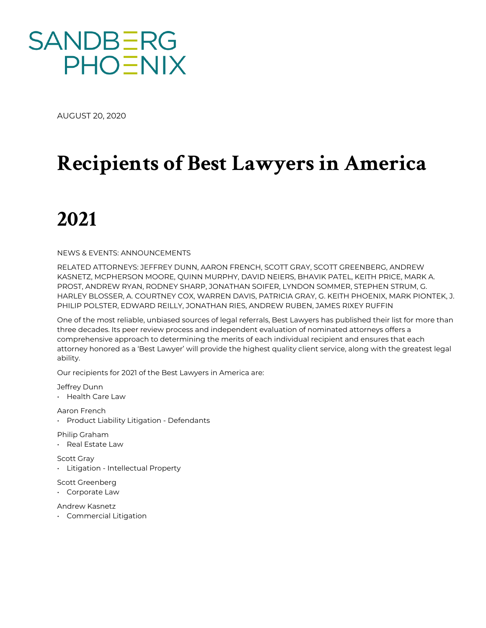

AUGUST 20, 2020

# **Recipients of Best Lawyers in America**

# **2021**

NEWS & EVENTS: ANNOUNCEMENTS

RELATED ATTORNEYS: JEFFREY DUNN, AARON FRENCH, SCOTT GRAY, SCOTT GREENBERG, ANDREW KASNETZ, MCPHERSON MOORE, QUINN MURPHY, DAVID NEIERS, BHAVIK PATEL, KEITH PRICE, MARK A. PROST, ANDREW RYAN, RODNEY SHARP, JONATHAN SOIFER, LYNDON SOMMER, STEPHEN STRUM, G. HARLEY BLOSSER, A. COURTNEY COX, WARREN DAVIS, PATRICIA GRAY, G. KEITH PHOENIX, MARK PIONTEK, J. PHILIP POLSTER, EDWARD REILLY, JONATHAN RIES, ANDREW RUBEN, JAMES RIXEY RUFFIN

One of the most reliable, unbiased sources of legal referrals, Best Lawyers has published their list for more than three decades. Its peer review process and independent evaluation of nominated attorneys offers a comprehensive approach to determining the merits of each individual recipient and ensures that each attorney honored as a 'Best Lawyer' will provide the highest quality client service, along with the greatest legal ability.

Our recipients for 2021 of the Best Lawyers in America are:

Jeffrey Dunn

• Health Care Law

Aaron French

• Product Liability Litigation - Defendants

Philip Graham

• Real Estate Law

Scott Gray

• Litigation - Intellectual Property

Scott Greenberg

• Corporate Law

Andrew Kasnetz

• Commercial Litigation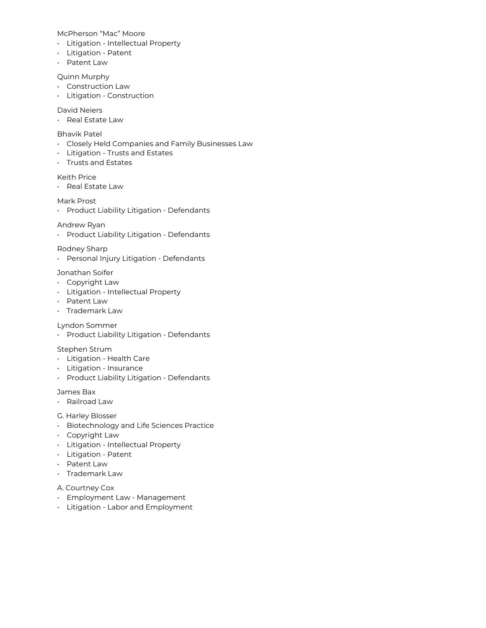McPherson "Mac" Moore

- Litigation Intellectual Property
- Litigation Patent
- Patent Law

## Quinn Murphy

- Construction Law
- Litigation Construction

## David Neiers

• Real Estate Law

## Bhavik Patel

- Closely Held Companies and Family Businesses Law
- Litigation Trusts and Estates
- Trusts and Estates

## Keith Price

• Real Estate Law

# Mark Prost

• Product Liability Litigation - Defendants

## Andrew Ryan

• Product Liability Litigation - Defendants

## Rodney Sharp

• Personal Injury Litigation - Defendants

# Jonathan Soifer

- Copyright Law
- Litigation Intellectual Property
- Patent Law
- Trademark Law

# Lyndon Sommer

• Product Liability Litigation - Defendants

#### Stephen Strum

- Litigation Health Care
- Litigation Insurance
- Product Liability Litigation Defendants

#### James Bax

- Railroad Law
- G. Harley Blosser
- Biotechnology and Life Sciences Practice
- Copyright Law
- Litigation Intellectual Property
- Litigation Patent
- Patent Law
- Trademark Law

#### A. Courtney Cox

- Employment Law Management
- Litigation Labor and Employment